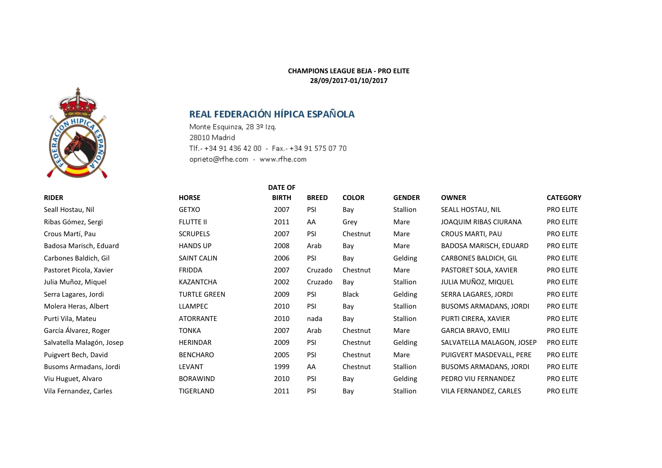### **CHAMPIONS LEAGUE BEJA - PRO ELITE 28/09/2017-01/10/2017**

## REAL FEDERACIÓN HÍPICA ESPAÑOLA

Monte Esquinza, 28 3º Izq. 28010 Madrid Tlf.- +34 91 436 42 00 - Fax.- +34 91 575 07 70 oprieto@rfhe.com - www.rfhe.com

|                           |                     | <b>DATE OF</b> |              |              |                 |                               |                  |
|---------------------------|---------------------|----------------|--------------|--------------|-----------------|-------------------------------|------------------|
| <b>RIDER</b>              | <b>HORSE</b>        | <b>BIRTH</b>   | <b>BREED</b> | <b>COLOR</b> | <b>GENDER</b>   | <b>OWNER</b>                  | <b>CATEGORY</b>  |
| Seall Hostau, Nil         | <b>GETXO</b>        | 2007           | PSI          | Bay          | Stallion        | SEALL HOSTAU, NIL             | PRO ELITE        |
| Ribas Gómez, Sergi        | <b>FLUTTE II</b>    | 2011           | AA           | Grey         | Mare            | <b>JOAQUIM RIBAS CIURANA</b>  | PRO ELITE        |
| Crous Martí, Pau          | <b>SCRUPELS</b>     | 2007           | PSI          | Chestnut     | Mare            | <b>CROUS MARTI, PAU</b>       | PRO ELITE        |
| Badosa Marisch, Eduard    | <b>HANDS UP</b>     | 2008           | Arab         | Bay          | Mare            | BADOSA MARISCH, EDUARD        | <b>PRO ELITE</b> |
| Carbones Baldich, Gil     | <b>SAINT CALIN</b>  | 2006           | PSI          | Bay          | Gelding         | <b>CARBONES BALDICH, GIL</b>  | PRO ELITE        |
| Pastoret Picola, Xavier   | <b>FRIDDA</b>       | 2007           | Cruzado      | Chestnut     | Mare            | PASTORET SOLA, XAVIER         | PRO ELITE        |
| Julia Muñoz, Miquel       | <b>KAZANTCHA</b>    | 2002           | Cruzado      | Bay          | Stallion        | JULIA MUÑOZ, MIQUEL           | PRO ELITE        |
| Serra Lagares, Jordi      | <b>TURTLE GREEN</b> | 2009           | <b>PSI</b>   | <b>Black</b> | Gelding         | SERRA LAGARES, JORDI          | PRO ELITE        |
| Molera Heras, Albert      | <b>LLAMPEC</b>      | 2010           | PSI          | Bay          | Stallion        | <b>BUSOMS ARMADANS, JORDI</b> | PRO ELITE        |
| Purti Vila, Mateu         | <b>ATORRANTE</b>    | 2010           | nada         | Bay          | Stallion        | PURTI CIRERA, XAVIER          | PRO ELITE        |
| García Álvarez, Roger     | <b>TONKA</b>        | 2007           | Arab         | Chestnut     | Mare            | <b>GARCIA BRAVO, EMILI</b>    | PRO ELITE        |
| Salvatella Malagón, Josep | <b>HERINDAR</b>     | 2009           | PSI          | Chestnut     | Gelding         | SALVATELLA MALAGON, JOSEP     | PRO ELITE        |
| Puigvert Bech, David      | <b>BENCHARO</b>     | 2005           | <b>PSI</b>   | Chestnut     | Mare            | PUIGVERT MASDEVALL, PERE      | PRO ELITE        |
| Busoms Armadans, Jordi    | <b>LEVANT</b>       | 1999           | AA           | Chestnut     | <b>Stallion</b> | <b>BUSOMS ARMADANS, JORDI</b> | PRO ELITE        |
| Viu Huguet, Alvaro        | <b>BORAWIND</b>     | 2010           | PSI          | Bay          | Gelding         | PEDRO VIU FERNANDEZ           | PRO ELITE        |
| Vila Fernandez, Carles    | TIGERLAND           | 2011           | <b>PSI</b>   | Bay          | <b>Stallion</b> | VILA FERNANDEZ, CARLES        | PRO ELITE        |

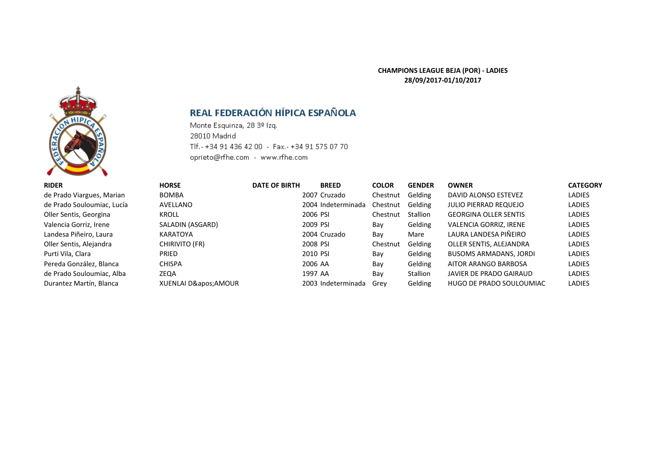### **CHAMPIONS LEAGUE BEJA (POR) - LADIES 28/09/2017-01/10/2017**



# REAL FEDERACIÓN HÍPICA ESPAÑOLA

Monte Esquinza, 28 3º Izq. 28010 Madrid Tlf.- +34 91 436 42 00 - Fax.- +34 91 575 07 70 oprieto@rfhe.com - www.rfhe.com

| <b>RIDER</b>               | <b>HORSE</b>          | <b>DATE OF BIRTH</b> | <b>BREED</b>       | <b>COLOR</b> | <b>GENDER</b> | <b>OWNER</b>                  | <b>CATEGORY</b> |
|----------------------------|-----------------------|----------------------|--------------------|--------------|---------------|-------------------------------|-----------------|
| de Prado Viargues, Marian  | <b>BOMBA</b>          |                      | 2007 Cruzado       | Chestnut     | Gelding       | DAVID ALONSO ESTEVEZ          | <b>LADIES</b>   |
| de Prado Souloumiac, Lucía | AVELLANO              |                      | 2004 Indeterminada | Chestnut     | Gelding       | <b>JULIO PIERRAD REQUEJO</b>  | <b>LADIES</b>   |
| Oller Sentis, Georgina     | <b>KROLL</b>          |                      | 2006 PSI           | Chestnut     | Stallion      | <b>GEORGINA OLLER SENTIS</b>  | <b>LADIES</b>   |
| Valencia Gorriz, Irene     | SALADIN (ASGARD)      |                      | 2009 PSI           | Bay          | Gelding       | <b>VALENCIA GORRIZ, IRENE</b> | <b>LADIES</b>   |
| Landesa Piñeiro, Laura     | KARATOYA              |                      | 2004 Cruzado       | Bay          | Mare          | LAURA LANDESA PIÑEIRO         | <b>LADIES</b>   |
| Oller Sentis, Alejandra    | <b>CHIRIVITO (FR)</b> |                      | 2008 PSI           | Chestnut     | Gelding       | OLLER SENTIS, ALEJANDRA       | <b>LADIES</b>   |
| Purti Vila, Clara          | <b>PRIED</b>          |                      | 2010 PSI           | Bay          | Gelding       | <b>BUSOMS ARMADANS, JORDI</b> | <b>LADIES</b>   |
| Pereda González, Blanca    | <b>CHISPA</b>         |                      | 2006 AA            | Bay          | Gelding       | AITOR ARANGO BARBOSA          | <b>LADIES</b>   |
| de Prado Souloumiac, Alba  | ZEQA                  |                      | 1997 AA            | Bay          | Stallion      | JAVIER DE PRADO GAIRAUD       | <b>LADIES</b>   |
| Durantez Martín, Blanca    | XUENLAI D' AMOUR      |                      | 2003 Indeterminada | Grev         | Gelding       | HUGO DE PRADO SOULOUMIAC      | <b>LADIES</b>   |
|                            |                       |                      |                    |              |               |                               |                 |